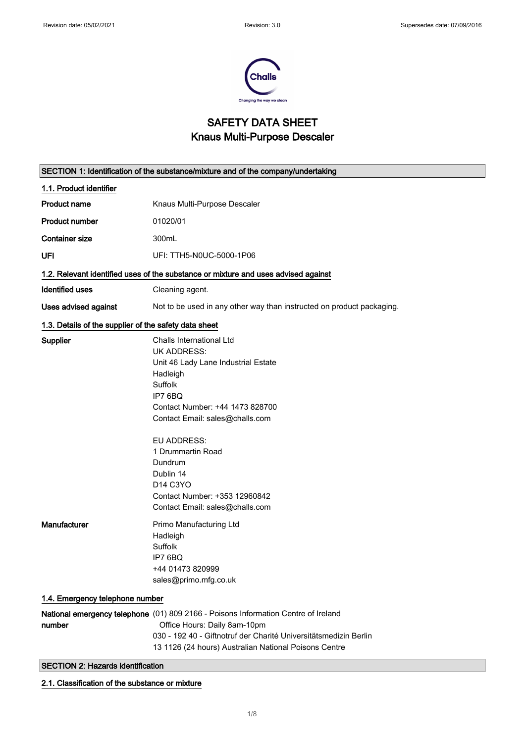$\overline{\phantom{0}}$ 



## SAFETY DATA SHEET Knaus Multi-Purpose Descaler

|                                                                                    | SECTION 1: Identification of the substance/mixture and of the company/undertaking                                                                                                                                                                                                                                                         |  |
|------------------------------------------------------------------------------------|-------------------------------------------------------------------------------------------------------------------------------------------------------------------------------------------------------------------------------------------------------------------------------------------------------------------------------------------|--|
| 1.1. Product identifier                                                            |                                                                                                                                                                                                                                                                                                                                           |  |
| <b>Product name</b>                                                                | Knaus Multi-Purpose Descaler                                                                                                                                                                                                                                                                                                              |  |
| <b>Product number</b>                                                              | 01020/01                                                                                                                                                                                                                                                                                                                                  |  |
| <b>Container size</b>                                                              | 300mL                                                                                                                                                                                                                                                                                                                                     |  |
| UFI                                                                                | UFI: TTH5-N0UC-5000-1P06                                                                                                                                                                                                                                                                                                                  |  |
| 1.2. Relevant identified uses of the substance or mixture and uses advised against |                                                                                                                                                                                                                                                                                                                                           |  |
| <b>Identified uses</b>                                                             | Cleaning agent.                                                                                                                                                                                                                                                                                                                           |  |
| <b>Uses advised against</b>                                                        | Not to be used in any other way than instructed on product packaging.                                                                                                                                                                                                                                                                     |  |
| 1.3. Details of the supplier of the safety data sheet                              |                                                                                                                                                                                                                                                                                                                                           |  |
| Supplier                                                                           | Challs International Ltd<br><b>UK ADDRESS:</b><br>Unit 46 Lady Lane Industrial Estate<br>Hadleigh<br>Suffolk<br>IP7 6BQ<br>Contact Number: +44 1473 828700<br>Contact Email: sales@challs.com<br>EU ADDRESS:<br>1 Drummartin Road<br>Dundrum<br>Dublin 14<br>D14 C3YO<br>Contact Number: +353 12960842<br>Contact Email: sales@challs.com |  |
| Manufacturer<br>1.4. Emergency telephone number                                    | Primo Manufacturing Ltd<br>Hadleigh<br>Suffolk<br>IP7 6BQ<br>+44 01473 820999<br>sales@primo.mfg.co.uk                                                                                                                                                                                                                                    |  |
|                                                                                    | National emergency telephone (01) 809 2166 - Poisons Information Centre of Ireland                                                                                                                                                                                                                                                        |  |
| number                                                                             | Office Hours: Daily 8am-10pm                                                                                                                                                                                                                                                                                                              |  |
|                                                                                    | 030 - 192 40 - Giftnotruf der Charité Universitätsmedizin Berlin                                                                                                                                                                                                                                                                          |  |
|                                                                                    | 13 1126 (24 hours) Australian National Poisons Centre                                                                                                                                                                                                                                                                                     |  |
| <b>SECTION 2: Hazards identification</b>                                           |                                                                                                                                                                                                                                                                                                                                           |  |

2.1. Classification of the substance or mixture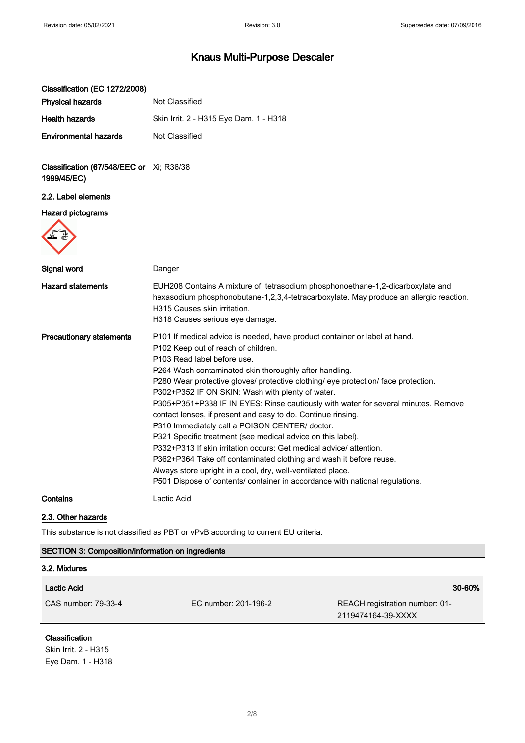| Classification (EC 1272/2008)                            |                                                                                                                                                                                                                                                                                                                                                                                                                                                                                                                                                                                                                                                                                                                                                                                                                                                                                                                         |
|----------------------------------------------------------|-------------------------------------------------------------------------------------------------------------------------------------------------------------------------------------------------------------------------------------------------------------------------------------------------------------------------------------------------------------------------------------------------------------------------------------------------------------------------------------------------------------------------------------------------------------------------------------------------------------------------------------------------------------------------------------------------------------------------------------------------------------------------------------------------------------------------------------------------------------------------------------------------------------------------|
| <b>Physical hazards</b>                                  | Not Classified                                                                                                                                                                                                                                                                                                                                                                                                                                                                                                                                                                                                                                                                                                                                                                                                                                                                                                          |
| <b>Health hazards</b>                                    | Skin Irrit. 2 - H315 Eye Dam. 1 - H318                                                                                                                                                                                                                                                                                                                                                                                                                                                                                                                                                                                                                                                                                                                                                                                                                                                                                  |
| <b>Environmental hazards</b>                             | Not Classified                                                                                                                                                                                                                                                                                                                                                                                                                                                                                                                                                                                                                                                                                                                                                                                                                                                                                                          |
| Classification (67/548/EEC or Xi; R36/38<br>1999/45/EC)  |                                                                                                                                                                                                                                                                                                                                                                                                                                                                                                                                                                                                                                                                                                                                                                                                                                                                                                                         |
| 2.2. Label elements                                      |                                                                                                                                                                                                                                                                                                                                                                                                                                                                                                                                                                                                                                                                                                                                                                                                                                                                                                                         |
| <b>Hazard pictograms</b>                                 |                                                                                                                                                                                                                                                                                                                                                                                                                                                                                                                                                                                                                                                                                                                                                                                                                                                                                                                         |
| Signal word                                              | Danger                                                                                                                                                                                                                                                                                                                                                                                                                                                                                                                                                                                                                                                                                                                                                                                                                                                                                                                  |
| <b>Hazard statements</b>                                 | EUH208 Contains A mixture of: tetrasodium phosphonoethane-1,2-dicarboxylate and<br>hexasodium phosphonobutane-1,2,3,4-tetracarboxylate. May produce an allergic reaction.<br>H315 Causes skin irritation.<br>H318 Causes serious eye damage.                                                                                                                                                                                                                                                                                                                                                                                                                                                                                                                                                                                                                                                                            |
| <b>Precautionary statements</b>                          | P101 If medical advice is needed, have product container or label at hand.<br>P102 Keep out of reach of children.<br>P103 Read label before use.<br>P264 Wash contaminated skin thoroughly after handling.<br>P280 Wear protective gloves/ protective clothing/ eye protection/ face protection.<br>P302+P352 IF ON SKIN: Wash with plenty of water.<br>P305+P351+P338 IF IN EYES: Rinse cautiously with water for several minutes. Remove<br>contact lenses, if present and easy to do. Continue rinsing.<br>P310 Immediately call a POISON CENTER/ doctor.<br>P321 Specific treatment (see medical advice on this label).<br>P332+P313 If skin irritation occurs: Get medical advice/ attention.<br>P362+P364 Take off contaminated clothing and wash it before reuse.<br>Always store upright in a cool, dry, well-ventilated place.<br>P501 Dispose of contents/ container in accordance with national regulations. |
| Contains                                                 | Lactic Acid                                                                                                                                                                                                                                                                                                                                                                                                                                                                                                                                                                                                                                                                                                                                                                                                                                                                                                             |
| 2.3. Other hazards                                       |                                                                                                                                                                                                                                                                                                                                                                                                                                                                                                                                                                                                                                                                                                                                                                                                                                                                                                                         |
|                                                          | This substance is not classified as PBT or vPvB according to current EU criteria.                                                                                                                                                                                                                                                                                                                                                                                                                                                                                                                                                                                                                                                                                                                                                                                                                                       |
| <b>SECTION 3: Composition/information on ingredients</b> |                                                                                                                                                                                                                                                                                                                                                                                                                                                                                                                                                                                                                                                                                                                                                                                                                                                                                                                         |
| 3.2. Mixtures                                            |                                                                                                                                                                                                                                                                                                                                                                                                                                                                                                                                                                                                                                                                                                                                                                                                                                                                                                                         |
|                                                          |                                                                                                                                                                                                                                                                                                                                                                                                                                                                                                                                                                                                                                                                                                                                                                                                                                                                                                                         |

## Lactic Acid 30-60% CAS number: 79-33-4 EC number: 201-196-2 REACH registration number: 01- 2119474164-39-XXXX

### Classification

Skin Irrit. 2 - H315 Eye Dam. 1 - H318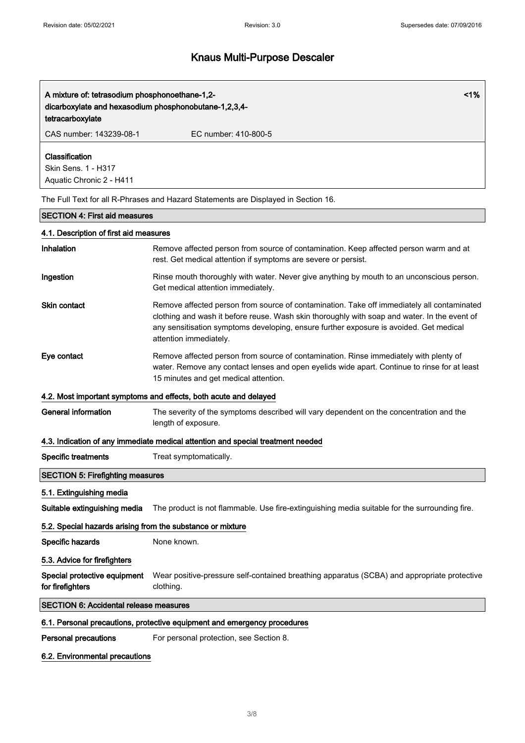| A mixture of: tetrasodium phosphonoethane-1,2-<br>dicarboxylate and hexasodium phosphonobutane-1,2,3,4-<br>tetracarboxylate | 1%                                                                                                                                                                                                                                                                                                             |  |
|-----------------------------------------------------------------------------------------------------------------------------|----------------------------------------------------------------------------------------------------------------------------------------------------------------------------------------------------------------------------------------------------------------------------------------------------------------|--|
| CAS number: 143239-08-1                                                                                                     | EC number: 410-800-5                                                                                                                                                                                                                                                                                           |  |
| Classification<br>Skin Sens. 1 - H317<br>Aquatic Chronic 2 - H411                                                           |                                                                                                                                                                                                                                                                                                                |  |
|                                                                                                                             | The Full Text for all R-Phrases and Hazard Statements are Displayed in Section 16.                                                                                                                                                                                                                             |  |
| <b>SECTION 4: First aid measures</b>                                                                                        |                                                                                                                                                                                                                                                                                                                |  |
| 4.1. Description of first aid measures                                                                                      |                                                                                                                                                                                                                                                                                                                |  |
| Inhalation                                                                                                                  | Remove affected person from source of contamination. Keep affected person warm and at<br>rest. Get medical attention if symptoms are severe or persist.                                                                                                                                                        |  |
| Ingestion                                                                                                                   | Rinse mouth thoroughly with water. Never give anything by mouth to an unconscious person.<br>Get medical attention immediately.                                                                                                                                                                                |  |
| <b>Skin contact</b>                                                                                                         | Remove affected person from source of contamination. Take off immediately all contaminated<br>clothing and wash it before reuse. Wash skin thoroughly with soap and water. In the event of<br>any sensitisation symptoms developing, ensure further exposure is avoided. Get medical<br>attention immediately. |  |
| Eye contact                                                                                                                 | Remove affected person from source of contamination. Rinse immediately with plenty of<br>water. Remove any contact lenses and open eyelids wide apart. Continue to rinse for at least<br>15 minutes and get medical attention.                                                                                 |  |
|                                                                                                                             | 4.2. Most important symptoms and effects, both acute and delayed                                                                                                                                                                                                                                               |  |
| <b>General information</b>                                                                                                  | The severity of the symptoms described will vary dependent on the concentration and the<br>length of exposure.                                                                                                                                                                                                 |  |
| 4.3. Indication of any immediate medical attention and special treatment needed                                             |                                                                                                                                                                                                                                                                                                                |  |
| <b>Specific treatments</b>                                                                                                  | Treat symptomatically.                                                                                                                                                                                                                                                                                         |  |
| <b>SECTION 5: Firefighting measures</b>                                                                                     |                                                                                                                                                                                                                                                                                                                |  |
| 5.1. Extinguishing media                                                                                                    |                                                                                                                                                                                                                                                                                                                |  |
| Suitable extinguishing media                                                                                                | The product is not flammable. Use fire-extinguishing media suitable for the surrounding fire.                                                                                                                                                                                                                  |  |
| 5.2. Special hazards arising from the substance or mixture                                                                  |                                                                                                                                                                                                                                                                                                                |  |
| Specific hazards                                                                                                            | None known.                                                                                                                                                                                                                                                                                                    |  |
| 5.3. Advice for firefighters                                                                                                |                                                                                                                                                                                                                                                                                                                |  |
| Special protective equipment<br>for firefighters                                                                            | Wear positive-pressure self-contained breathing apparatus (SCBA) and appropriate protective<br>clothing.                                                                                                                                                                                                       |  |
| <b>SECTION 6: Accidental release measures</b>                                                                               |                                                                                                                                                                                                                                                                                                                |  |
|                                                                                                                             | 6.1. Personal precautions, protective equipment and emergency procedures                                                                                                                                                                                                                                       |  |
| <b>Personal precautions</b>                                                                                                 | For personal protection, see Section 8.                                                                                                                                                                                                                                                                        |  |

## 6.2. Environmental precautions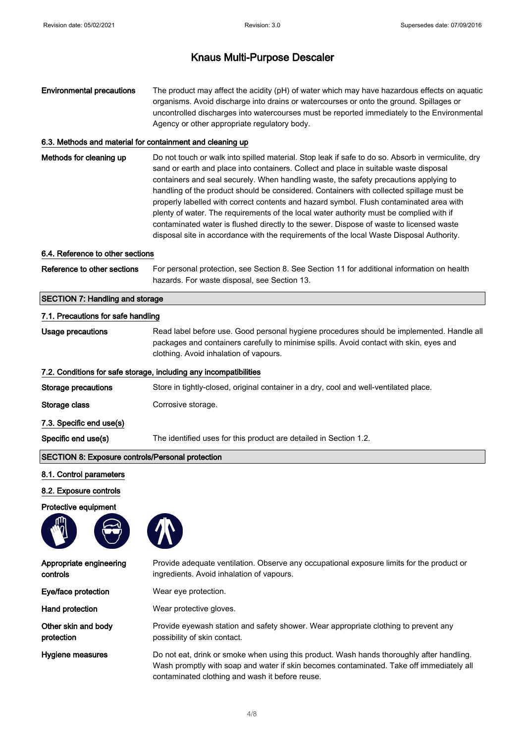| <b>Environmental precautions</b> | The product may affect the acidity (pH) of water which may have hazardous effects on aguatic |
|----------------------------------|----------------------------------------------------------------------------------------------|
|                                  | organisms. Avoid discharge into drains or watercourses or onto the ground. Spillages or      |
|                                  | uncontrolled discharges into watercourses must be reported immediately to the Environmental  |
|                                  | Agency or other appropriate regulatory body.                                                 |

#### 6.3. Methods and material for containment and cleaning up

Methods for cleaning up Do not touch or walk into spilled material. Stop leak if safe to do so. Absorb in vermiculite, dry sand or earth and place into containers. Collect and place in suitable waste disposal containers and seal securely. When handling waste, the safety precautions applying to handling of the product should be considered. Containers with collected spillage must be properly labelled with correct contents and hazard symbol. Flush contaminated area with plenty of water. The requirements of the local water authority must be complied with if contaminated water is flushed directly to the sewer. Dispose of waste to licensed waste disposal site in accordance with the requirements of the local Waste Disposal Authority.

#### 6.4. Reference to other sections

Reference to other sections For personal protection, see Section 8. See Section 11 for additional information on health hazards. For waste disposal, see Section 13.

#### SECTION 7: Handling and storage

| 7.1. Precautions for safe handling                                |                                                                                                                                                                                                                                |  |
|-------------------------------------------------------------------|--------------------------------------------------------------------------------------------------------------------------------------------------------------------------------------------------------------------------------|--|
| Usage precautions                                                 | Read label before use. Good personal hygiene procedures should be implemented. Handle all<br>packages and containers carefully to minimise spills. Avoid contact with skin, eyes and<br>clothing. Avoid inhalation of vapours. |  |
| 7.2. Conditions for safe storage, including any incompatibilities |                                                                                                                                                                                                                                |  |
| Storage precautions                                               | Store in tightly-closed, original container in a dry, cool and well-ventilated place.                                                                                                                                          |  |
| Storage class                                                     | Corrosive storage.                                                                                                                                                                                                             |  |
| 7.3. Specific end use(s)                                          |                                                                                                                                                                                                                                |  |
| Specific end use(s)                                               | The identified uses for this product are detailed in Section 1.2.                                                                                                                                                              |  |

#### SECTION 8: Exposure controls/Personal protection

### 8.1. Control parameters

#### 8.2. Exposure controls

#### Protective equipment





| Appropriate engineering<br>controls | Provide adequate ventilation. Observe any occupational exposure limits for the product or<br>ingredients. Avoid inhalation of vapours.                                                                                                   |  |
|-------------------------------------|------------------------------------------------------------------------------------------------------------------------------------------------------------------------------------------------------------------------------------------|--|
| Eye/face protection                 | Wear eye protection.                                                                                                                                                                                                                     |  |
| Hand protection                     | Wear protective gloves.                                                                                                                                                                                                                  |  |
| Other skin and body<br>protection   | Provide eyewash station and safety shower. Wear appropriate clothing to prevent any<br>possibility of skin contact.                                                                                                                      |  |
| Hygiene measures                    | Do not eat, drink or smoke when using this product. Wash hands thoroughly after handling.<br>Wash promptly with soap and water if skin becomes contaminated. Take off immediately all<br>contaminated clothing and wash it before reuse. |  |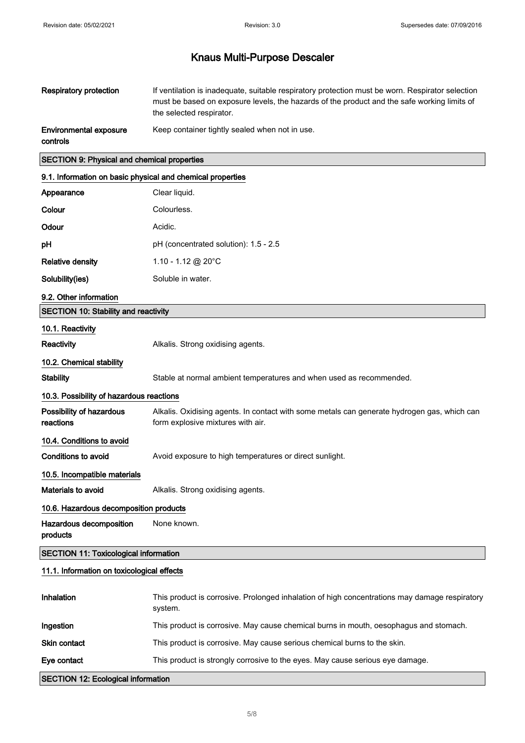| Respiratory protection                             | If ventilation is inadequate, suitable respiratory protection must be worn. Respirator selection<br>must be based on exposure levels, the hazards of the product and the safe working limits of<br>the selected respirator. |
|----------------------------------------------------|-----------------------------------------------------------------------------------------------------------------------------------------------------------------------------------------------------------------------------|
| <b>Environmental exposure</b><br>controls          | Keep container tightly sealed when not in use.                                                                                                                                                                              |
| <b>SECTION 9: Physical and chemical properties</b> |                                                                                                                                                                                                                             |

## 9.1. Information on basic physical and chemical properties

| Appearance                                   | Clear liquid.                                                                                                                    |  |
|----------------------------------------------|----------------------------------------------------------------------------------------------------------------------------------|--|
| Colour                                       | Colourless.                                                                                                                      |  |
| Odour                                        | Acidic.                                                                                                                          |  |
| pH                                           | pH (concentrated solution): 1.5 - 2.5                                                                                            |  |
| <b>Relative density</b>                      | 1.10 - 1.12 @ 20°C                                                                                                               |  |
| Solubility(ies)                              | Soluble in water.                                                                                                                |  |
| 9.2. Other information                       |                                                                                                                                  |  |
| <b>SECTION 10: Stability and reactivity</b>  |                                                                                                                                  |  |
| 10.1. Reactivity                             |                                                                                                                                  |  |
| Reactivity                                   | Alkalis. Strong oxidising agents.                                                                                                |  |
| 10.2. Chemical stability                     |                                                                                                                                  |  |
| <b>Stability</b>                             | Stable at normal ambient temperatures and when used as recommended.                                                              |  |
| 10.3. Possibility of hazardous reactions     |                                                                                                                                  |  |
| Possibility of hazardous<br>reactions        | Alkalis. Oxidising agents. In contact with some metals can generate hydrogen gas, which can<br>form explosive mixtures with air. |  |
| 10.4. Conditions to avoid                    |                                                                                                                                  |  |
| Conditions to avoid                          | Avoid exposure to high temperatures or direct sunlight.                                                                          |  |
| 10.5. Incompatible materials                 |                                                                                                                                  |  |
| <b>Materials to avoid</b>                    | Alkalis. Strong oxidising agents.                                                                                                |  |
| 10.6. Hazardous decomposition products       |                                                                                                                                  |  |
| Hazardous decomposition<br>products          | None known.                                                                                                                      |  |
| <b>SECTION 11: Toxicological information</b> |                                                                                                                                  |  |
| 11.1. Information on toxicological effects   |                                                                                                                                  |  |
| Inhalation                                   | This product is corrosive. Prolonged inhalation of high concentrations may damage respiratory<br>system.                         |  |
| Ingestion                                    | This product is corrosive. May cause chemical burns in mouth, oesophagus and stomach.                                            |  |
| Skin contact                                 | This product is corrosive. May cause serious chemical burns to the skin.                                                         |  |
| Eye contact                                  | This product is strongly corrosive to the eyes. May cause serious eye damage.                                                    |  |

SECTION 12: Ecological information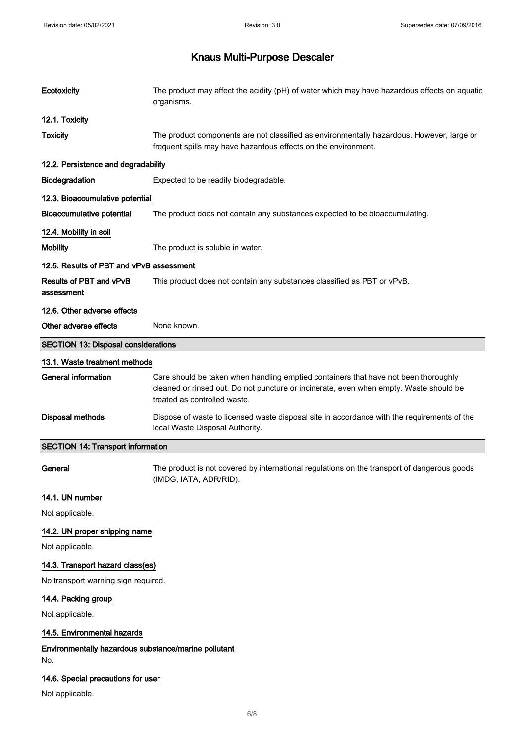| Ecotoxicity                                                 | The product may affect the acidity (pH) of water which may have hazardous effects on aquatic<br>organisms.                                                  |
|-------------------------------------------------------------|-------------------------------------------------------------------------------------------------------------------------------------------------------------|
| 12.1. Toxicity                                              |                                                                                                                                                             |
| <b>Toxicity</b>                                             | The product components are not classified as environmentally hazardous. However, large or<br>frequent spills may have hazardous effects on the environment. |
| 12.2. Persistence and degradability                         |                                                                                                                                                             |
| Biodegradation                                              | Expected to be readily biodegradable.                                                                                                                       |
| 12.3. Bioaccumulative potential                             |                                                                                                                                                             |
| <b>Bioaccumulative potential</b>                            | The product does not contain any substances expected to be bioaccumulating.                                                                                 |
| 12.4. Mobility in soil                                      |                                                                                                                                                             |
| <b>Mobility</b>                                             | The product is soluble in water.                                                                                                                            |
| 12.5. Results of PBT and vPvB assessment                    |                                                                                                                                                             |
| Results of PBT and vPvB<br>assessment                       | This product does not contain any substances classified as PBT or vPvB.                                                                                     |
| 12.6. Other adverse effects                                 |                                                                                                                                                             |
| Other adverse effects                                       | None known.                                                                                                                                                 |
| <b>SECTION 13: Disposal considerations</b>                  |                                                                                                                                                             |
| 13.1. Waste treatment methods                               |                                                                                                                                                             |
| <b>General information</b>                                  | Care should be taken when handling emptied containers that have not been thoroughly                                                                         |
|                                                             | cleaned or rinsed out. Do not puncture or incinerate, even when empty. Waste should be<br>treated as controlled waste.                                      |
| Disposal methods                                            | Dispose of waste to licensed waste disposal site in accordance with the requirements of the<br>local Waste Disposal Authority.                              |
| <b>SECTION 14: Transport information</b>                    |                                                                                                                                                             |
| General                                                     | The product is not covered by international regulations on the transport of dangerous goods<br>(IMDG, IATA, ADR/RID).                                       |
| 14.1. UN number                                             |                                                                                                                                                             |
| Not applicable.                                             |                                                                                                                                                             |
| 14.2. UN proper shipping name                               |                                                                                                                                                             |
| Not applicable.                                             |                                                                                                                                                             |
| 14.3. Transport hazard class(es)                            |                                                                                                                                                             |
| No transport warning sign required.                         |                                                                                                                                                             |
| 14.4. Packing group                                         |                                                                                                                                                             |
| Not applicable.                                             |                                                                                                                                                             |
| 14.5. Environmental hazards                                 |                                                                                                                                                             |
| Environmentally hazardous substance/marine pollutant<br>No. |                                                                                                                                                             |
| 14.6. Special precautions for user                          |                                                                                                                                                             |
| Not applicable.                                             |                                                                                                                                                             |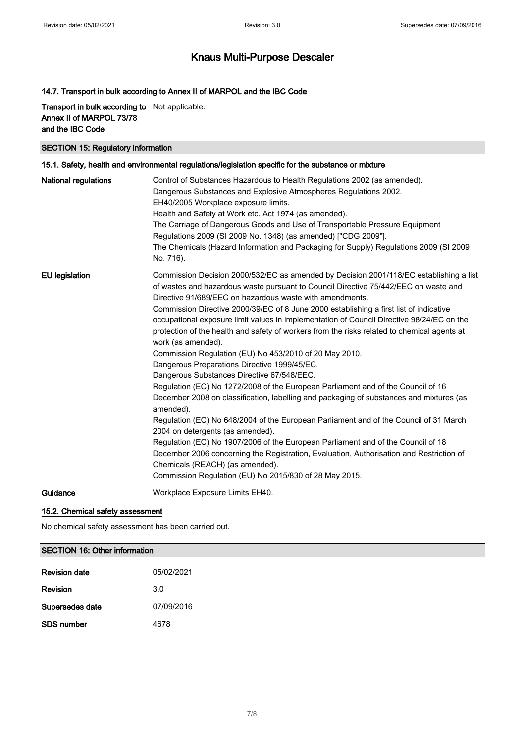## 14.7. Transport in bulk according to Annex II of MARPOL and the IBC Code

### Transport in bulk according to Not applicable. Annex II of MARPOL 73/78 and the IBC Code

## SECTION 15: Regulatory information

|                             | 15.1. Safety, health and environmental regulations/legislation specific for the substance or mixture                                                                                     |
|-----------------------------|------------------------------------------------------------------------------------------------------------------------------------------------------------------------------------------|
| <b>National regulations</b> | Control of Substances Hazardous to Health Regulations 2002 (as amended).                                                                                                                 |
|                             | Dangerous Substances and Explosive Atmospheres Regulations 2002.                                                                                                                         |
|                             | EH40/2005 Workplace exposure limits.<br>Health and Safety at Work etc. Act 1974 (as amended).                                                                                            |
|                             | The Carriage of Dangerous Goods and Use of Transportable Pressure Equipment                                                                                                              |
|                             | Regulations 2009 (SI 2009 No. 1348) (as amended) ["CDG 2009"].                                                                                                                           |
|                             | The Chemicals (Hazard Information and Packaging for Supply) Regulations 2009 (SI 2009<br>No. 716).                                                                                       |
| <b>EU</b> legislation       | Commission Decision 2000/532/EC as amended by Decision 2001/118/EC establishing a list                                                                                                   |
|                             | of wastes and hazardous waste pursuant to Council Directive 75/442/EEC on waste and                                                                                                      |
|                             | Directive 91/689/EEC on hazardous waste with amendments.                                                                                                                                 |
|                             | Commission Directive 2000/39/EC of 8 June 2000 establishing a first list of indicative                                                                                                   |
|                             | occupational exposure limit values in implementation of Council Directive 98/24/EC on the<br>protection of the health and safety of workers from the risks related to chemical agents at |
|                             | work (as amended).                                                                                                                                                                       |
|                             | Commission Regulation (EU) No 453/2010 of 20 May 2010.                                                                                                                                   |
|                             | Dangerous Preparations Directive 1999/45/EC.                                                                                                                                             |
|                             | Dangerous Substances Directive 67/548/EEC.                                                                                                                                               |
|                             | Regulation (EC) No 1272/2008 of the European Parliament and of the Council of 16                                                                                                         |
|                             | December 2008 on classification, labelling and packaging of substances and mixtures (as<br>amended).                                                                                     |
|                             | Regulation (EC) No 648/2004 of the European Parliament and of the Council of 31 March<br>2004 on detergents (as amended).                                                                |
|                             | Regulation (EC) No 1907/2006 of the European Parliament and of the Council of 18                                                                                                         |
|                             | December 2006 concerning the Registration, Evaluation, Authorisation and Restriction of                                                                                                  |
|                             | Chemicals (REACH) (as amended).                                                                                                                                                          |
|                             | Commission Regulation (EU) No 2015/830 of 28 May 2015.                                                                                                                                   |
| Guidance                    | Workplace Exposure Limits EH40.                                                                                                                                                          |
|                             |                                                                                                                                                                                          |

### 15.2. Chemical safety assessment

No chemical safety assessment has been carried out.

### SECTION 16: Other information

| <b>Revision date</b> | 05/02/2021 |
|----------------------|------------|
| Revision             | 3.0        |
| Supersedes date      | 07/09/2016 |
| SDS number           | 4678       |